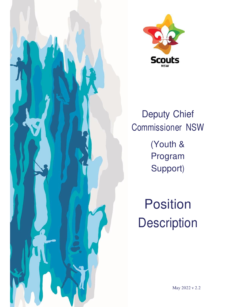



Deputy Chief Commissioner NSW (Youth & Program Support)

**Position Description**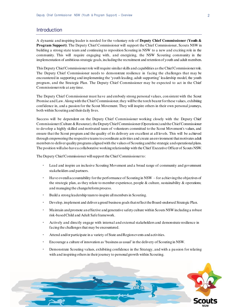## **Introduction**

A dynamic and inspiring leader is needed for the voluntary role of **Deputy Chief Commissioner (Youth & Program Support)**. The Deputy Chief Commissioner will support the Chief Commissioner, Scouts NSW in building a strong state team and continuing to reposition Scouting in NSW to a new and exciting role in the community. This will require engaging with, and energizing, the NSW Scouting community in the implementation of ambitious strategic goals, including the recruitment and retention of youth and adult members.

This Deputy Chief Commissioner role will require similar skills and capabilities as the Chief Commissioner role. The Deputy Chief Commissioner needs to demonstrate resilience in facing the challenges that may be encountered in supporting and implementing the 'youth leading, adult supporting' leadership model, the youth program, and the Strategic Plan. The Deputy Chief Commissioner may be expected to act in the Chief Commissioner role at any time.

The Deputy Chief Commissioner must have and embody strong personal values, consistent with the Scout Promise and Law. Along with the Chief Commissioner, they will be the torch bearer for these values, exhibiting confidence in, and a passion for the Scout Movement. They will inspire others in their own personal journeys, both within Scouting and their daily lives.

Success will be dependent on the Deputy Chief Commissioner working closely with the Deputy Chief Commissioner (Culture & Resource), the Deputy Chief Commissioner (Operations) and the Chief Commissioner to develop a highly skilled and motivated team of volunteers committed to the Scout Movement's values, and ensure that the Scout program and the quality of its delivery are excellent at all levels. This will be achieved through empowering the respective teams to coordinate activities and create an environment that motivates adult members to deliver quality programs aligned with the values of Scouting and the strategic and operational plans. The position will also have a collaborative working relationship with the Chief Executive Officer of Scouts NSW.

The Deputy Chief Commissioner will support the Chief Commissioner to:

- Lead and inspire an inclusive Scouting Movement and a broad range of community and government stakeholders and partners.
- Have overall accountability for the performance of Scouting in NSW for achieving the objectives of the strategic plan, as they relate to member experience, people & culture, sustainability & operations; and managing the change/reform process.
- Build a strong leadership team to inspire all members in Scouting.
- Develop, implement and deliver agreed business goals that reflect the Board-endorsed Strategic Plan.
- Maintain and promote an effective and generative safety culture within Scouts NSW including a robust risk-based Child and Adult Safe framework.
- Actively and directly engage with internal and external stakeholders and demonstrate resilience in facing the challenges that may be encountered.
- Attend and/or participate in a variety of State and Region events and activities.
- Encourage a culture of innovation as'business as usual'in the delivery of Scouting in NSW.
- Demonstrate Scouting values, exhibiting confidence in the Strategy, and with a passion for relating with and inspiring others in their journey to personal growth within Scouting.

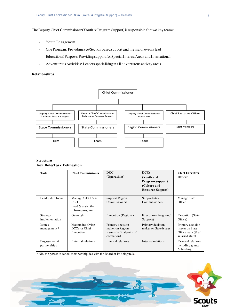The Deputy Chief Commissioner (Youth & Program Support) is responsible for two key teams:

- Youth Engagement
- One Program: Providing age/Section based support and the major events lead
- Educational Purpose: Providing support for Special Interest Areas and International
- Adventurous Activities: Leaders specialising in all adventurous activity areas

#### **Relationships**



#### **Structure Key Role/Task Delineation**

| Task                           | <b>Chief Commissioner</b>                                                | <b>DCC</b><br>(Operations)                                                      | <b>DCCs</b><br>(Youth and<br><b>Program Support</b> )<br>(Culture and<br><b>Resource Support)</b> | <b>Chief Executive</b><br><b>Officer</b>                                       |
|--------------------------------|--------------------------------------------------------------------------|---------------------------------------------------------------------------------|---------------------------------------------------------------------------------------------------|--------------------------------------------------------------------------------|
| Leadership focus               | Manage $3xDCCs +$<br><b>CEO</b><br>Lead $&$ assist the<br>reform program | Support Region<br>Commissioners                                                 | <b>Support State</b><br>Commissioners                                                             | Manage State<br>Office                                                         |
| Strategy<br>implementation     | Oversight                                                                | Execution (Regions)                                                             | Execution (Program /<br>Support)                                                                  | <b>Execution</b> (State<br>Office)                                             |
| Issues<br>management*          | Matters involving<br>DCCs or Chief<br>Executive                          | Primary decision<br>maker on Region<br>issues (ie final point of<br>escalation) | Primary decision<br>maker on State issues                                                         | Primary decision<br>maker on State<br>Office team $(\&$ all<br>salaried staff) |
| Engagement $&$<br>partnerships | External relations                                                       | Internal relations                                                              | Internal relations                                                                                | External relations.<br>including grants<br>& funding                           |

\* NB. the power to cancel membership lies with the Board or its delegate/s.

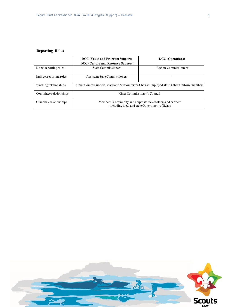# **Reporting Roles**

|                          | DCC (Youth and Program Support)<br>DCC (Culture and Resource Support)                                        | <b>DCC</b> (Operations) |  |
|--------------------------|--------------------------------------------------------------------------------------------------------------|-------------------------|--|
| Direct reporting roles   | <b>State Commissioners</b>                                                                                   | Region Commissioners    |  |
| Indirect reporting roles | <b>Assistant State Commissioners</b>                                                                         |                         |  |
| Working relationships    | Chief Commissioner; Board and Subcommittee Chairs; Employed staff; Other Uniform members                     |                         |  |
| Committee relationships  | Chief Commissioner's Council                                                                                 |                         |  |
| Other key relationships  | Members; Community and corporate stakeholders and partners<br>including local and state Government officials |                         |  |

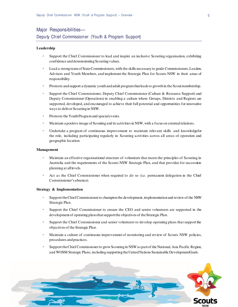# Major Responsibilities— Deputy Chief Commissioner (Youth & Program Support)

#### **Leadership**

- Support the Chief Commissioner to lead and inspire an inclusive Scouting organisation, exhibiting confidence and demonstrating Scouting values.
- Lead a strong team of State Commissioners, with the skills necessary to guide Commissioners, Leaders, Advisers and Youth Members, and implement the Strategic Plan for Scouts NSW in their areas of responsibility.
- Promote and support a dynamic youth and adult program that leads to growth in the Scout membership.
- Support the Chief Commissioner, Deputy Chief Commissioner (Culture & Resource Support) and Deputy Commissioner (Operations) in enabling a culture where Groups, Districts and Regions are supported, developed, and encouraged to achieve their full potential and opportunities for innovative ways to deliver Scouting in NSW.
- Promote the Youth Program and special events.
- Maintain a positive image of Scouting and its activities in NSW, with a focus on external relations.
- Undertake a program of continuous improvement to maintain relevant skills and knowledge for the role, including participating regularly in Scouting activities across all areas of operation and geographic location.

#### **Management**

- Maintain an effective organisational structure of volunteers that meets the principles of Scouting in Australia and the requirements of the Scouts NSW Strategic Plan, and that provides for succession planning at all levels.
- Act as the Chief Commissioner when required to do so (i.e. permanent delegation in the Chief Commissioner's absence).

#### **Strategy & Implementation**

- Support the Chief Commissioner to champion the development, implementation and review of the NSW Strategic Plan.
- Support the Chief Commissioner to ensure the CEO and senior volunteers are supported in the development of operating plans that support the objectives of the Strategic Plan.
- Support the Chief Commissioner and senior volunteers to develop operating plans that support the objectives of the Strategic Plan.
- Maintain a culture of continuous improvement of monitoring and review of Scouts NSW policies, procedures and practices.
- Support the Chief Commissioner to grow Scouting in NSW as part of the National, Asia Pacific Region, and WOSM Strategic Plans, including supporting the United Nations Sustainable Development Goals.

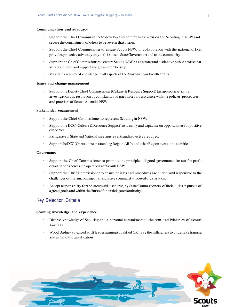#### **Communication and advocacy**

- Support the Chief Commissioner to develop and communicate a vision for Scouting in NSW and secure the commitment of others to believe in that vision.
- Support the Chief Commissioner to ensure Scouts NSW, in collaboration with the national office, provides proactive advocacy on youth issues to State Government and to the community.
- Support the Chief Commissioner to ensure Scouts NSW has a strong and distinctive public profile that attracts interest and support and grows membership.
- Maintain currency of knowledge in all aspects of the Movement and youth affairs.

#### **Issues and change management**

• Support the Deputy Chief Commissioner (Culture & Resource Support) (as appropriate) in the investigation and resolution of complaints and grievances in accordance with the policies, procedures and practices of Scouts Australia NSW.

#### **Stakeholder engagement**

- Support the Chief Commissioner to represent Scouting in NSW.
- Support the DCC (Culture & Resource Support) to identify and capitalise on opportunities for positive outcomes.
- Participate in State and National meetings, events and projects as required.
- Support the DCC (Operations) in attending Region ARPs and other Region events and activities.

#### **Governance**

- Support the Chief Commissioner to promote the principles of good governance for not-for-profit organisations across the operations of Scouts NSW.
- Support the Chief Commissioner to ensure policies and procedures are current and responsive to the challenges of the functioning of an inclusive community-focused organisation.
- Accept responsibility for the successful discharge, by State Commissioners, of their duties in pursuit of agreed goals and within the limits of their delegated authority.

# Key Selection Criteria

#### **Scouting knowledge and experience**

- Diverse knowledge of Scouting and a personal commitment to the Aim and Principles of Scouts Australia.
- Wood Badge (advanced adult leader training) qualified OR have the willingness to undertake training and achieve the qualification.

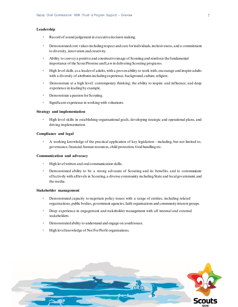#### **Leadership**

- Record of sound judgement in executive decision making.
- Demonstrated core values including respect and care for individuals, inclusiveness, and a commitment to diversity, innovation and creativity.
- Ability to convey a positive and constructive image of Scouting and reinforce the fundamental importance of the Scout Promise and Law in delivering Scouting programs.
- High level skills as a leader of adults, with a proven ability to work with, encourage and inspire adults with a diversity of attributes including experience, background, culture, religion.
- Demonstrate at a high level: contemporary thinking; the ability to inspire and influence; and deep experience in leading by example.
- Demonstrate a passion for Scouting.
- Significant experience in working with volunteers.

#### **Strategy and implementation**

• High level skills in establishing organisational goals, developing strategic and operational plans, and driving implementation.

#### **Compliance and legal**

• A working knowledge of the practical application of key legislation—including, but not limited to, governance, financial, human resources, child protection, food handling etc.

#### **Communication and advocacy**

- High level written and oral communication skills;
- Demonstrated ability to be a strong advocate of Scouting and its benefits, and to communicate effectively with all levels in Scouting, a diverse community including State and local government, and the media.

#### **Stakeholder management**

- Demonstrated capacity to negotiate policy issues with a range of entities, including related organisations, public bodies, government agencies, faith organisations and community interest groups.
- Deep experience in engagement and stakeholder management with all internal and external stakeholders.
- Demonstrated ability to understand and engage on youth issues.
- High level knowledge of Not For Profit organisations.

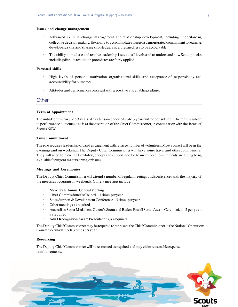#### **Issues and change management**

- Advanced skills in change management and relationship development, including understanding collective decision making, flexibility to accommodate change, a demonstrated commitment to learning, developing skills and sharing knowledge, and a preparedness to be accountable.
- The ability to mediate and resolve leadership issues at all levels and to understand how Scout policies including dispute resolution procedures are fairly applied.

#### **Personal skills**

- High levels of personal motivation, organisational skills and acceptance of responsibility and accountability for outcomes.
- Attitudes and performance consistent with a positive and enabling culture.

## **Other**

#### **Term of Appointment**

The initial term is for up to 3 years. An extension period of up to 3 years will be considered. The term is subject to performance outcomes and is at the discretion of the Chief Commissioner, in consultation with the Board of Scouts NSW.

#### **Time Commitment**

The role requires leadership of, and engagement with, a large number of volunteers. Most contact will be in the evenings and on weekends. The Deputy Chief Commissioner will have some travel and other commitments. They will need to have the flexibility, energy and support needed to meet these commitments, including being available for urgent matters or major issues.

#### **Meetings and Ceremonies**

The Deputy Chief Commissioner will attend a number of regular meetings and conferences with the majority of the meetings occurring on weekends. Current meetings include:

- NSW State Annual General Meeting
- Chief Commissioner's Council 3 times per year
- State Support & Development Conference 3 times per year
- Other meetings as required
- Australian Scout Medallion, Queen's Scout and Baden-Powell Scout Award Ceremonies 2 per year, as required
- Adult Recognition Award Presentations, as required

The Deputy Chief Commissioner may be required to represent the Chief Commissioner at the National Operations Committee which meets 3 times per year

#### **Resourcing**

The Deputy Chief Commissioner will be resourced as required and may claim reasonable expense reimbursements.